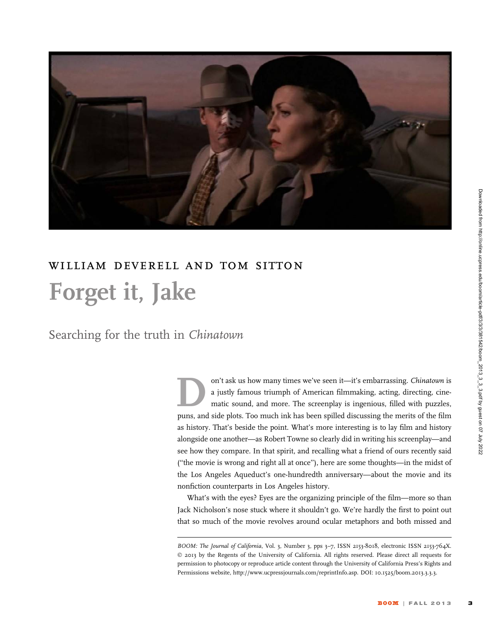

# william deverell and tom sitton Forget it, Jake

Searching for the truth in Chinatown

on't ask us how many times we've seen it—it's embarrassing. Chinatown is a justly famous triumph of American filmmaking, acting, directing, cinematic sound, and more. The screenplay is ingenious, filled with puzzles, puns, and side plots. Too much ink has been spilled discussing the merits of the film as history. That's beside the point. What's more interesting is to lay film and history alongside one another—as Robert Towne so clearly did in writing his screenplay—and see how they compare. In that spirit, and recalling what a friend of ours recently said (''the movie is wrong and right all at once''), here are some thoughts—in the midst of the Los Angeles Aqueduct's one-hundredth anniversary—about the movie and its nonfiction counterparts in Los Angeles history.

What's with the eyes? Eyes are the organizing principle of the film—more so than Jack Nicholson's nose stuck where it shouldn't go. We're hardly the first to point out that so much of the movie revolves around ocular metaphors and both missed and

BOOM: The Journal of California, Vol. 3, Number 3, pps 3-7, ISSN 2153-8018, electronic ISSN 2153-764X. © 2013 by the Regents of the University of California. All rights reserved. Please direct all requests for permission to photocopy or reproduce article content through the University of California Press's Rights and Permissions website, http://www.ucpressjournals.com/reprintInfo.asp. DOI: 10.1525/boom.2013.3.3.3.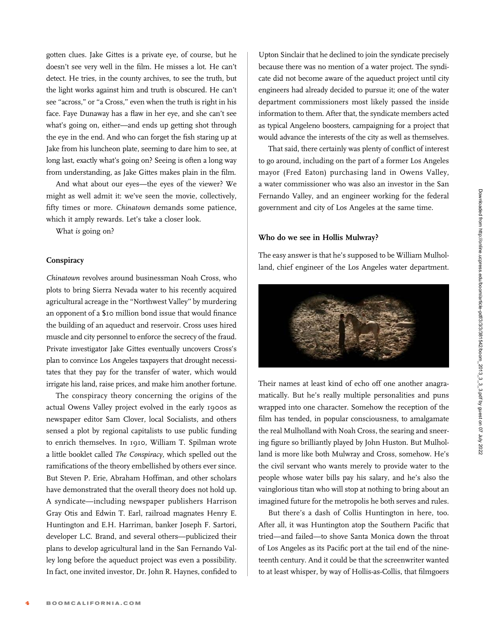gotten clues. Jake Gittes is a private eye, of course, but he doesn't see very well in the film. He misses a lot. He can't detect. He tries, in the county archives, to see the truth, but the light works against him and truth is obscured. He can't see ''across,'' or ''a Cross,'' even when the truth is right in his face. Faye Dunaway has a flaw in her eye, and she can't see what's going on, either—and ends up getting shot through the eye in the end. And who can forget the fish staring up at Jake from his luncheon plate, seeming to dare him to see, at long last, exactly what's going on? Seeing is often a long way from understanding, as Jake Gittes makes plain in the film.

And what about our eyes—the eyes of the viewer? We might as well admit it: we've seen the movie, collectively, fifty times or more. Chinatown demands some patience, which it amply rewards. Let's take a closer look.

What is going on?

# **Conspiracy**

Chinatown revolves around businessman Noah Cross, who plots to bring Sierra Nevada water to his recently acquired agricultural acreage in the ''Northwest Valley'' by murdering an opponent of a \$10 million bond issue that would finance the building of an aqueduct and reservoir. Cross uses hired muscle and city personnel to enforce the secrecy of the fraud. Private investigator Jake Gittes eventually uncovers Cross's plan to convince Los Angeles taxpayers that drought necessitates that they pay for the transfer of water, which would irrigate his land, raise prices, and make him another fortune.

The conspiracy theory concerning the origins of the actual Owens Valley project evolved in the early 1900s as newspaper editor Sam Clover, local Socialists, and others sensed a plot by regional capitalists to use public funding to enrich themselves. In 1910, William T. Spilman wrote a little booklet called The Conspiracy, which spelled out the ramifications of the theory embellished by others ever since. But Steven P. Erie, Abraham Hoffman, and other scholars have demonstrated that the overall theory does not hold up. A syndicate—including newspaper publishers Harrison Gray Otis and Edwin T. Earl, railroad magnates Henry E. Huntington and E.H. Harriman, banker Joseph F. Sartori, developer L.C. Brand, and several others—publicized their plans to develop agricultural land in the San Fernando Valley long before the aqueduct project was even a possibility. In fact, one invited investor, Dr. John R. Haynes, confided to

Upton Sinclair that he declined to join the syndicate precisely because there was no mention of a water project. The syndicate did not become aware of the aqueduct project until city engineers had already decided to pursue it; one of the water department commissioners most likely passed the inside information to them. After that, the syndicate members acted as typical Angeleno boosters, campaigning for a project that would advance the interests of the city as well as themselves.

That said, there certainly was plenty of conflict of interest to go around, including on the part of a former Los Angeles mayor (Fred Eaton) purchasing land in Owens Valley, a water commissioner who was also an investor in the San Fernando Valley, and an engineer working for the federal government and city of Los Angeles at the same time.

# Who do we see in Hollis Mulwray?

The easy answer is that he's supposed to be William Mulholland, chief engineer of the Los Angeles water department.



Their names at least kind of echo off one another anagramatically. But he's really multiple personalities and puns wrapped into one character. Somehow the reception of the film has tended, in popular consciousness, to amalgamate the real Mulholland with Noah Cross, the searing and sneering figure so brilliantly played by John Huston. But Mulholland is more like both Mulwray and Cross, somehow. He's the civil servant who wants merely to provide water to the people whose water bills pay his salary, and he's also the vainglorious titan who will stop at nothing to bring about an imagined future for the metropolis he both serves and rules.

But there's a dash of Collis Huntington in here, too. After all, it was Huntington atop the Southern Pacific that tried—and failed—to shove Santa Monica down the throat of Los Angeles as its Pacific port at the tail end of the nineteenth century. And it could be that the screenwriter wanted to at least whisper, by way of Hollis-as-Collis, that filmgoers

Downloaded from http://online.ucpress.edu/boom/article-pdf/3/381542/boom\_2013\_3\_3.pdf by guest on 07 July 2022 Downloaded from http://online.ucpress.edu/boom/article-pdf/3/3/3/381542/boom\_2013\_3\_3\_3.pdf by guest on 07 July 2022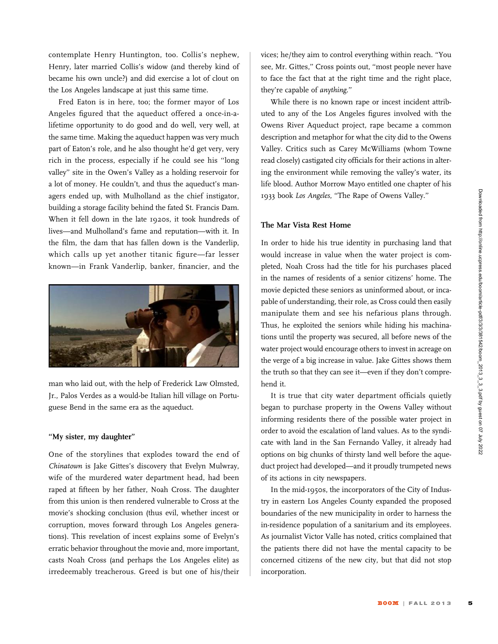contemplate Henry Huntington, too. Collis's nephew, Henry, later married Collis's widow (and thereby kind of became his own uncle?) and did exercise a lot of clout on the Los Angeles landscape at just this same time.

Fred Eaton is in here, too; the former mayor of Los Angeles figured that the aqueduct offered a once-in-alifetime opportunity to do good and do well, very well, at the same time. Making the aqueduct happen was very much part of Eaton's role, and he also thought he'd get very, very rich in the process, especially if he could see his ''long valley'' site in the Owen's Valley as a holding reservoir for a lot of money. He couldn't, and thus the aqueduct's managers ended up, with Mulholland as the chief instigator, building a storage facility behind the fated St. Francis Dam. When it fell down in the late 1920s, it took hundreds of lives—and Mulholland's fame and reputation—with it. In the film, the dam that has fallen down is the Vanderlip, which calls up yet another titanic figure—far lesser known—in Frank Vanderlip, banker, financier, and the



man who laid out, with the help of Frederick Law Olmsted, Jr., Palos Verdes as a would-be Italian hill village on Portuguese Bend in the same era as the aqueduct.

# ''My sister, my daughter''

One of the storylines that explodes toward the end of Chinatown is Jake Gittes's discovery that Evelyn Mulwray, wife of the murdered water department head, had been raped at fifteen by her father, Noah Cross. The daughter from this union is then rendered vulnerable to Cross at the movie's shocking conclusion (thus evil, whether incest or corruption, moves forward through Los Angeles generations). This revelation of incest explains some of Evelyn's erratic behavior throughout the movie and, more important, casts Noah Cross (and perhaps the Los Angeles elite) as irredeemably treacherous. Greed is but one of his/their

vices; he/they aim to control everything within reach. ''You see, Mr. Gittes,'' Cross points out, ''most people never have to face the fact that at the right time and the right place, they're capable of anything.''

While there is no known rape or incest incident attributed to any of the Los Angeles figures involved with the Owens River Aqueduct project, rape became a common description and metaphor for what the city did to the Owens Valley. Critics such as Carey McWilliams (whom Towne read closely) castigated city officials for their actions in altering the environment while removing the valley's water, its life blood. Author Morrow Mayo entitled one chapter of his 1933 book Los Angeles, ''The Rape of Owens Valley.''

#### The Mar Vista Rest Home

In order to hide his true identity in purchasing land that would increase in value when the water project is completed, Noah Cross had the title for his purchases placed in the names of residents of a senior citizens' home. The movie depicted these seniors as uninformed about, or incapable of understanding, their role, as Cross could then easily manipulate them and see his nefarious plans through. Thus, he exploited the seniors while hiding his machinations until the property was secured, all before news of the water project would encourage others to invest in acreage on the verge of a big increase in value. Jake Gittes shows them the truth so that they can see it—even if they don't comprehend it.

It is true that city water department officials quietly began to purchase property in the Owens Valley without informing residents there of the possible water project in order to avoid the escalation of land values. As to the syndicate with land in the San Fernando Valley, it already had options on big chunks of thirsty land well before the aqueduct project had developed—and it proudly trumpeted news of its actions in city newspapers.

In the mid-1950s, the incorporators of the City of Industry in eastern Los Angeles County expanded the proposed boundaries of the new municipality in order to harness the in-residence population of a sanitarium and its employees. As journalist Victor Valle has noted, critics complained that the patients there did not have the mental capacity to be concerned citizens of the new city, but that did not stop incorporation.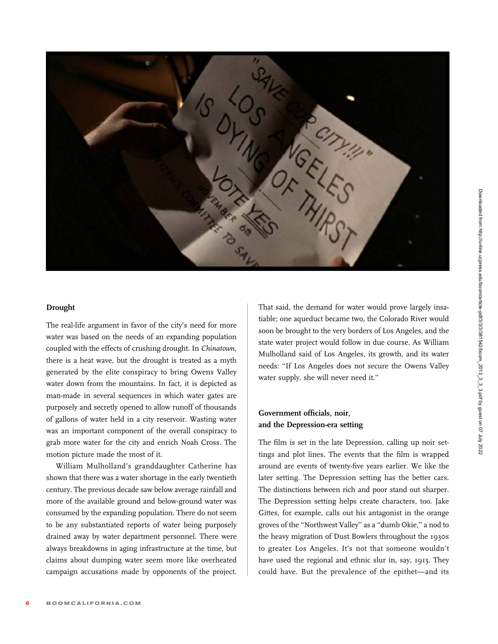

# Drought

The real-life argument in favor of the city's need for more water was based on the needs of an expanding population coupled with the effects of crushing drought. In Chinatown, there is a heat wave, but the drought is treated as a myth generated by the elite conspiracy to bring Owens Valley water down from the mountains. In fact, it is depicted as man-made in several sequences in which water gates are purposely and secretly opened to allow runoff of thousands of gallons of water held in a city reservoir. Wasting water was an important component of the overall conspiracy to grab more water for the city and enrich Noah Cross. The motion picture made the most of it.

William Mulholland's granddaughter Catherine has shown that there was a water shortage in the early twentieth century. The previous decade saw below average rainfall and more of the available ground and below-ground water was consumed by the expanding population. There do not seem to be any substantiated reports of water being purposely drained away by water department personnel. There were always breakdowns in aging infrastructure at the time, but claims about dumping water seem more like overheated campaign accusations made by opponents of the project.

That said, the demand for water would prove largely insatiable; one aqueduct became two, the Colorado River would soon be brought to the very borders of Los Angeles, and the state water project would follow in due course. As William Mulholland said of Los Angeles, its growth, and its water needs: ''If Los Angeles does not secure the Owens Valley water supply, she will never need it.''

# Government officials, noir, and the Depression-era setting

The film is set in the late Depression, calling up noir settings and plot lines. The events that the film is wrapped around are events of twenty-five years earlier. We like the later setting. The Depression setting has the better cars. The distinctions between rich and poor stand out sharper. The Depression setting helps create characters, too. Jake Gittes, for example, calls out his antagonist in the orange groves of the ''Northwest Valley'' as a ''dumb Okie,'' a nod to the heavy migration of Dust Bowlers throughout the 1930s to greater Los Angeles. It's not that someone wouldn't have used the regional and ethnic slur in, say, 1913. They could have. But the prevalence of the epithet—and its